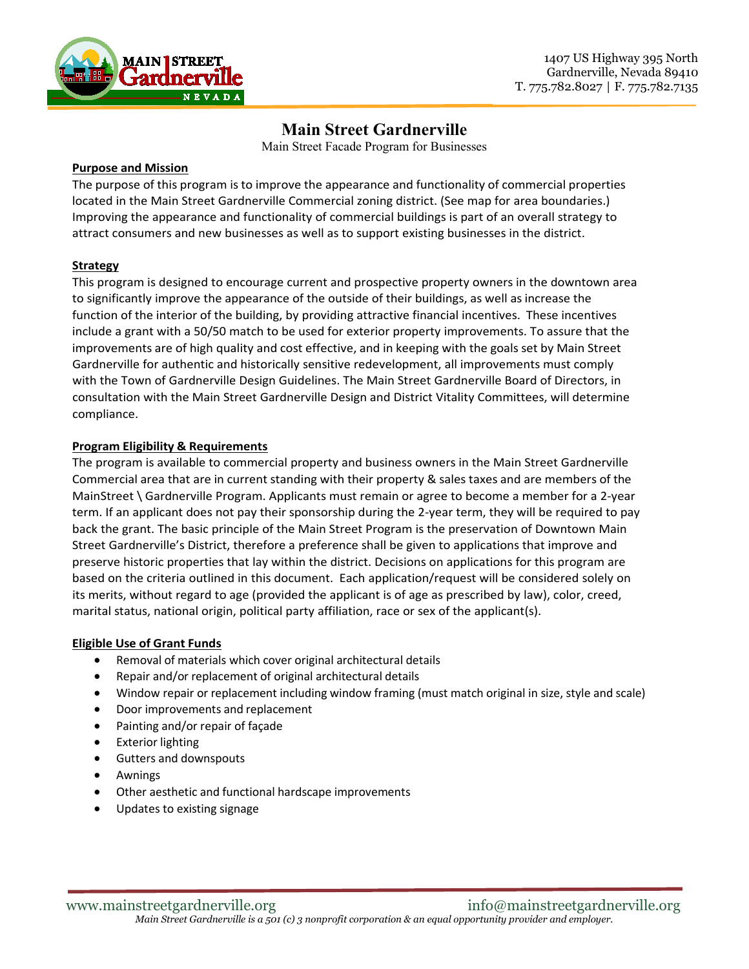

# **Main Street Gardnerville**

Main Street Facade Program for Businesses

## **Purpose and Mission**

The purpose of this program is to improve the appearance and functionality of commercial properties located in the Main Street Gardnerville Commercial zoning district. (See map for area boundaries.) Improving the appearance and functionality of commercial buildings is part of an overall strategy to attract consumers and new businesses as well as to support existing businesses in the district.

## **Strategy**

This program is designed to encourage current and prospective property owners in the downtown area to significantly improve the appearance of the outside of their buildings, as well as increase the function of the interior of the building, by providing attractive financial incentives. These incentives include a grant with a 50/50 match to be used for exterior property improvements. To assure that the improvements are of high quality and cost effective, and in keeping with the goals set by Main Street Gardnerville for authentic and historically sensitive redevelopment, all improvements must comply with the Town of Gardnerville Design Guidelines. The Main Street Gardnerville Board of Directors, in consultation with the Main Street Gardnerville Design and District Vitality Committees, will determine compliance.

## **Program Eligibility & Requirements**

The program is available to commercial property and business owners in the Main Street Gardnerville Commercial area that are in current standing with their property & sales taxes and are members of the MainStreet \ Gardnerville Program. Applicants must remain or agree to become a member for a 2-year term. If an applicant does not pay their sponsorship during the 2-year term, they will be required to pay back the grant. The basic principle of the Main Street Program is the preservation of Downtown Main Street Gardnerville's District, therefore a preference shall be given to applications that improve and preserve historic properties that lay within the district. Decisions on applications for this program are based on the criteria outlined in this document. Each application/request will be considered solely on its merits, without regard to age (provided the applicant is of age as prescribed by law), color, creed, marital status, national origin, political party affiliation, race or sex of the applicant(s).

## **Eligible Use of Grant Funds**

- Removal of materials which cover original architectural details
- Repair and/or replacement of original architectural details
- Window repair or replacement including window framing (must match original in size, style and scale)
- Door improvements and replacement
- Painting and/or repair of façade
- Exterior lighting
- Gutters and downspouts
- Awnings
- Other aesthetic and functional hardscape improvements
- Updates to existing signage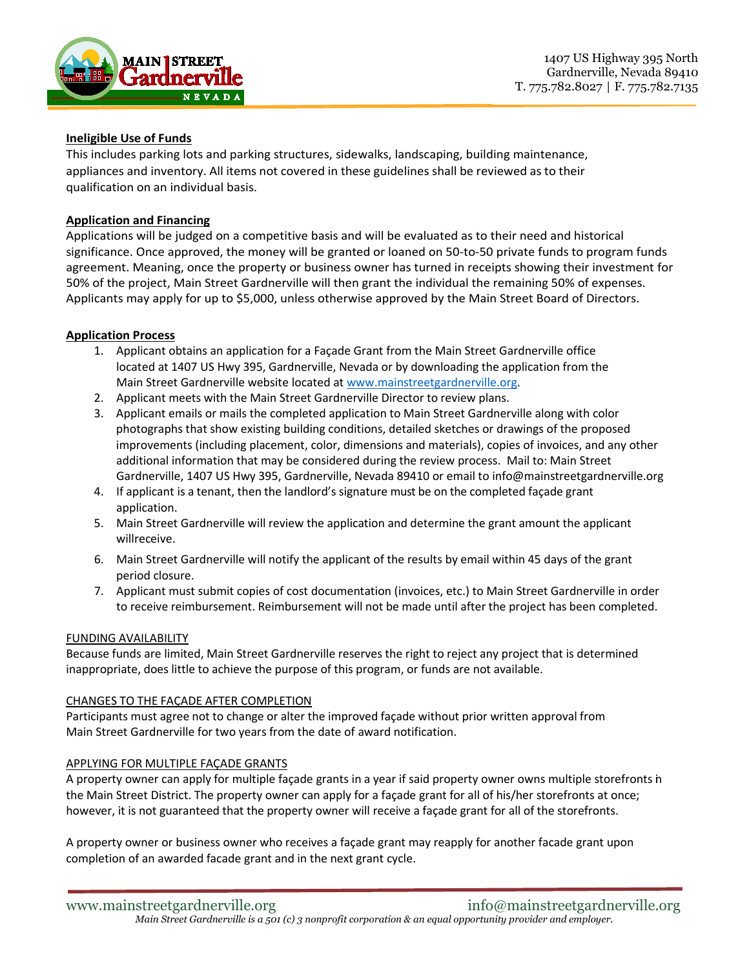

## **Ineligible Use of Funds**

This includes parking lots and parking structures, sidewalks, landscaping, building maintenance, appliances and inventory. All items not covered in these guidelines shall be reviewed as to their qualification on an individual basis.

## **Application and Financing**

Applications will be judged on a competitive basis and will be evaluated as to their need and historical significance. Once approved, the money will be granted or loaned on 50-to-50 private funds to program funds agreement. Meaning, once the property or business owner has turned in receipts showing their investment for 50% of the project, Main Street Gardnerville will then grant the individual the remaining 50% of expenses. Applicants may apply for up to \$5,000, unless otherwise approved by the Main Street Board of Directors.

#### **Application Process**

- 1. Applicant obtains an application for a Façade Grant from the Main Street Gardnerville office located at 1407 US Hwy 395, Gardnerville, Nevada or by downloading the application from the Main Street Gardnerville website located at www.mainstreetgardnerville.org.
- 2. Applicant meets with the Main Street Gardnerville Director to review plans.
- 3. Applicant emails or mails the completed application to Main Street Gardnerville along with color photographs that show existing building conditions, detailed sketches or drawings of the proposed improvements (including placement, color, dimensions and materials), copies of invoices, and any other additional information that may be considered during the review process. Mail to: Main Street Gardnerville, 1407 US Hwy 395, Gardnerville, Nevada 89410 or email to info@mainstreetgardnerville.org
- 4. If applicant is a tenant, then the landlord's signature must be on the completed façade grant application.
- 5. Main Street Gardnerville will review the application and determine the grant amount the applicant willreceive.
- 6. Main Street Gardnerville will notify the applicant of the results by email within 45 days of the grant period closure.
- 7. Applicant must submit copies of cost documentation (invoices, etc.) to Main Street Gardnerville in order to receive reimbursement. Reimbursement will not be made until after the project has been completed.

#### FUNDING AVAILABILITY

Because funds are limited, Main Street Gardnerville reserves the right to reject any project that is determined inappropriate, does little to achieve the purpose of this program, or funds are not available.

#### CHANGES TO THE FAÇADE AFTER COMPLETION

Participants must agree not to change or alter the improved façade without prior written approval from Main Street Gardnerville for two years from the date of award notification.

#### APPLYING FOR MULTIPLE FAÇADE GRANTS

A property owner can apply for multiple façade grants in a year if said property owner owns multiple storefronts in the Main Street District. The property owner can apply for a façade grant for all of his/her storefronts at once; however, it is not guaranteed that the property owner will receive a façade grant for all of the storefronts.

A property owner or business owner who receives a façade grant may reapply for another facade grant upon completion of an awarded facade grant and in the next grant cycle.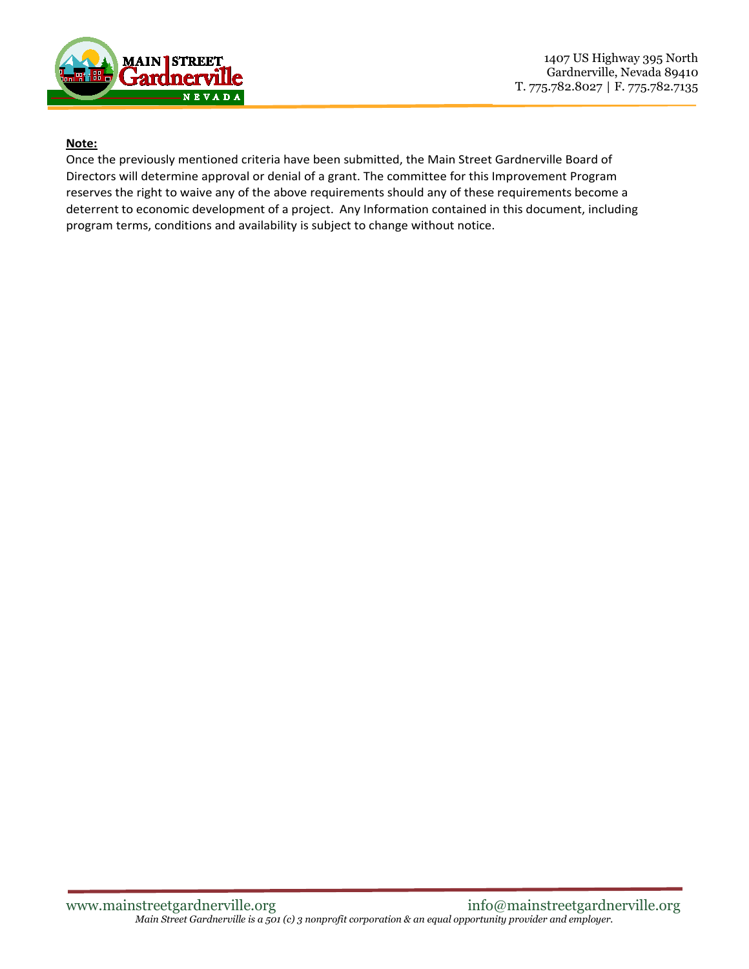

## **Note:**

Once the previously mentioned criteria have been submitted, the Main Street Gardnerville Board of Directors will determine approval or denial of a grant. The committee for this Improvement Program reserves the right to waive any of the above requirements should any of these requirements become a deterrent to economic development of a project. Any Information contained in this document, including program terms, conditions and availability is subject to change without notice.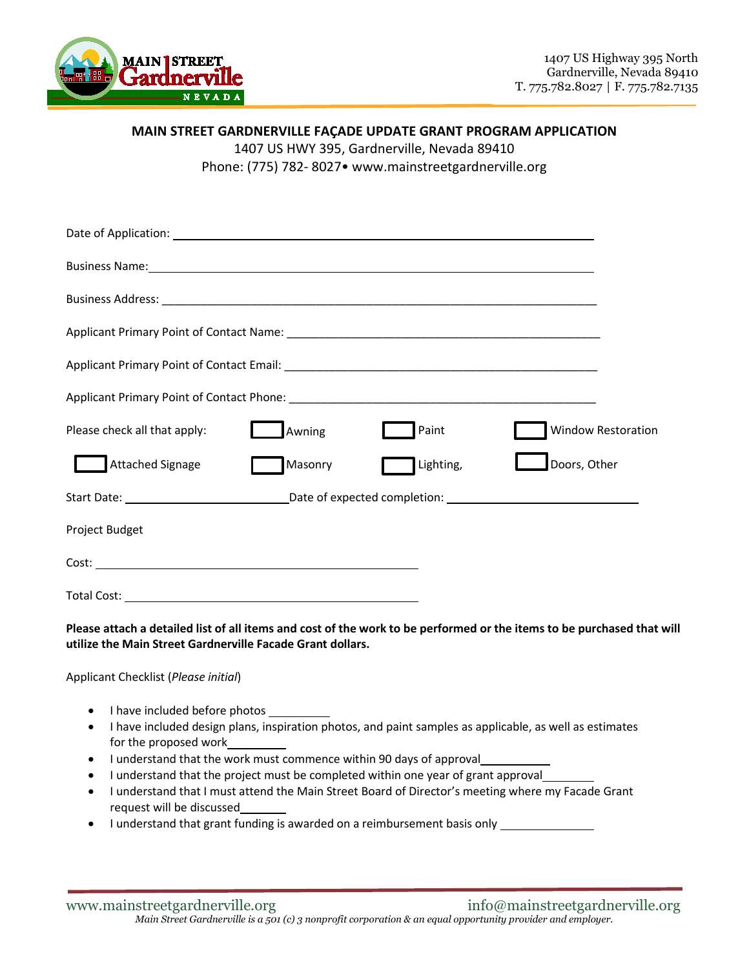

## **MAIN STREET GARDNERVILLE FAÇADE UPDATE GRANT PROGRAM APPLICATION**

1407 US HWY 395, Gardnerville, Nevada 89410

Phone: (775) 782- 8027• www.mainstreetgardnerville.org

| Business Name: 1988 Contract Contract Contract Contract Contract Contract Contract Contract Contract Contract Contract Contract Contract Contract Contract Contract Contract Contract Contract Contract Contract Contract Cont |         |           |                           |  |
|--------------------------------------------------------------------------------------------------------------------------------------------------------------------------------------------------------------------------------|---------|-----------|---------------------------|--|
|                                                                                                                                                                                                                                |         |           |                           |  |
|                                                                                                                                                                                                                                |         |           |                           |  |
|                                                                                                                                                                                                                                |         |           |                           |  |
|                                                                                                                                                                                                                                |         |           |                           |  |
| Please check all that apply:                                                                                                                                                                                                   | Awning  | Paint     | <b>Window Restoration</b> |  |
| <b>Attached Signage</b>                                                                                                                                                                                                        | Masonry | Lighting, | Doors, Other              |  |
|                                                                                                                                                                                                                                |         |           |                           |  |
| Project Budget                                                                                                                                                                                                                 |         |           |                           |  |
|                                                                                                                                                                                                                                |         |           |                           |  |
| Total Cost:                                                                                                                                                                                                                    |         |           |                           |  |

**Please attach a detailed list of all items and cost of the work to be performed or the items to be purchased that will utilize the Main Street Gardnerville Facade Grant dollars.** 

Applicant Checklist (*Please initial*)

- I have included before photos
- I have included design plans, inspiration photos, and paint samples as applicable, as well as estimates for the proposed work
- I understand that the work must commence within 90 days of approval\_
- I understand that the project must be completed within one year of grant approval
- I understand that I must attend the Main Street Board of Director's meeting where my Facade Grant request will be discussed
- I understand that grant funding is awarded on a reimbursement basis only